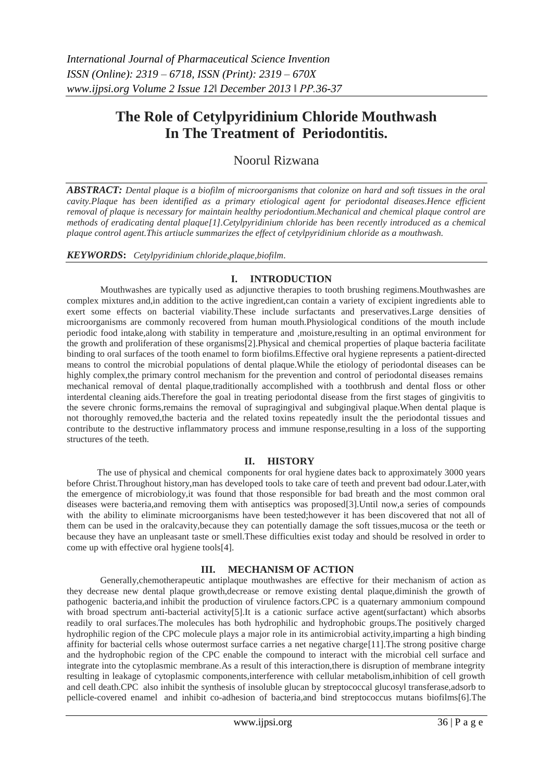# **The Role of Cetylpyridinium Chloride Mouthwash In The Treatment of Periodontitis.**

Noorul Rizwana

*ABSTRACT: Dental plaque is a biofilm of microorganisms that colonize on hard and soft tissues in the oral cavity.Plaque has been identified as a primary etiological agent for periodontal diseases.Hence efficient removal of plaque is necessary for maintain healthy periodontium.Mechanical and chemical plaque control are methods of eradicating dental plaque[1].Cetylpyridinium chloride has been recently introduced as a chemical plaque control agent.This artiucle summarizes the effect of cetylpyridinium chloride as a mouthwash.*

## *KEYWORDS***:** *Cetylpyridinium chloride,plaque,biofilm*.

# **I. INTRODUCTION**

Mouthwashes are typically used as adjunctive therapies to tooth brushing regimens.Mouthwashes are complex mixtures and,in addition to the active ingredient,can contain a variety of excipient ingredients able to exert some effects on bacterial viability.These include surfactants and preservatives.Large densities of microorganisms are commonly recovered from human mouth.Physiological conditions of the mouth include periodic food intake,along with stability in temperature and ,moisture,resulting in an optimal environment for the growth and proliferation of these organisms[2].Physical and chemical properties of plaque bacteria facilitate binding to oral surfaces of the tooth enamel to form biofilms.Effective oral hygiene represents a patient-directed means to control the microbial populations of dental plaque.While the etiology of periodontal diseases can be highly complex, the primary control mechanism for the prevention and control of periodontal diseases remains mechanical removal of dental plaque,traditionally accomplished with a toothbrush and dental floss or other interdental cleaning aids.Therefore the goal in treating periodontal disease from the first stages of gingivitis to the severe chronic forms,remains the removal of supragingival and subgingival plaque.When dental plaque is not thoroughly removed,the bacteria and the related toxins repeatedly insult the the periodontal tissues and contribute to the destructive inflammatory process and immune response,resulting in a loss of the supporting structures of the teeth.

## **II. HISTORY**

 The use of physical and chemical components for oral hygiene dates back to approximately 3000 years before Christ.Throughout history,man has developed tools to take care of teeth and prevent bad odour.Later,with the emergence of microbiology,it was found that those responsible for bad breath and the most common oral diseases were bacteria,and removing them with antiseptics was proposed[3].Until now,a series of compounds with the ability to eliminate microorganisms have been tested;however it has been discovered that not all of them can be used in the oralcavity,because they can potentially damage the soft tissues,mucosa or the teeth or because they have an unpleasant taste or smell.These difficulties exist today and should be resolved in order to come up with effective oral hygiene tools[4].

## **III. MECHANISM OF ACTION**

Generally,chemotherapeutic antiplaque mouthwashes are effective for their mechanism of action as they decrease new dental plaque growth,decrease or remove existing dental plaque,diminish the growth of pathogenic bacteria,and inhibit the production of virulence factors.CPC is a quaternary ammonium compound with broad spectrum anti-bacterial activity[5].It is a cationic surface active agent(surfactant) which absorbs readily to oral surfaces.The molecules has both hydrophilic and hydrophobic groups.The positively charged hydrophilic region of the CPC molecule plays a major role in its antimicrobial activity,imparting a high binding affinity for bacterial cells whose outermost surface carries a net negative charge[11].The strong positive charge and the hydrophobic region of the CPC enable the compound to interact with the microbial cell surface and integrate into the cytoplasmic membrane.As a result of this interaction,there is disruption of membrane integrity resulting in leakage of cytoplasmic components,interference with cellular metabolism,inhibition of cell growth and cell death.CPC also inhibit the synthesis of insoluble glucan by streptococcal glucosyl transferase,adsorb to pellicle-covered enamel and inhibit co-adhesion of bacteria,and bind streptococcus mutans biofilms[6].The